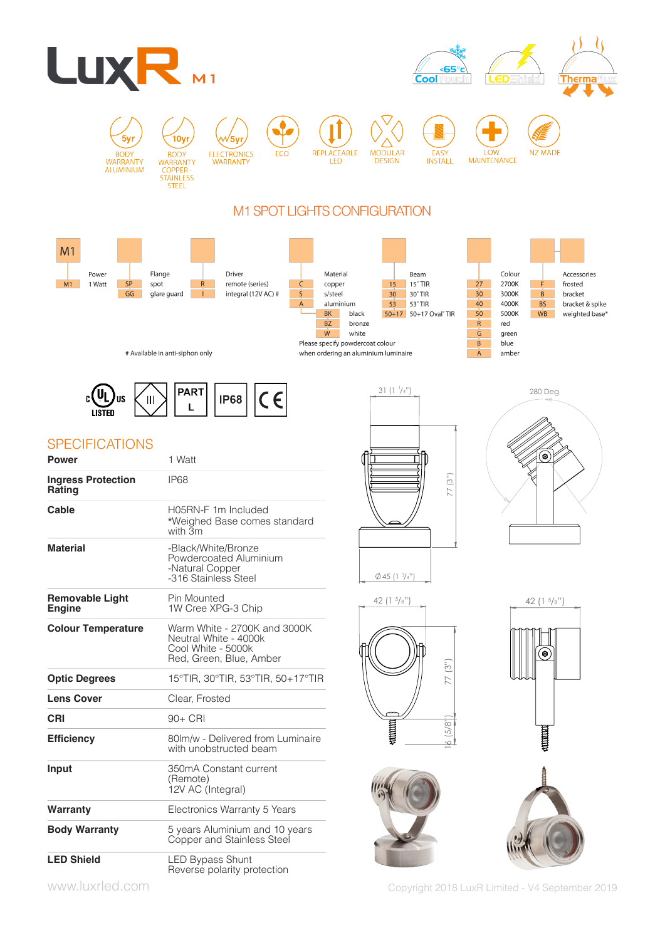

copper

s/steel

BK |

 $BZ$ 

 $W$ 

aluminium

black

bronze

white

when ordering an aluminium luminaire

Please specify powdercoat colour

 $\varsigma$ 





# Available in anti-siphon only

spot

glare guard



 $R$ 

 $\sim 1$ 

remote (series)

integral (12V AC) #

# **SPECIFICATIONS**

 $M1$ 

1 Watt

 $SP$ 

 $GG$ 

| <b>Power</b>                               | 1 Watt                                                                                                 |
|--------------------------------------------|--------------------------------------------------------------------------------------------------------|
| <b>Ingress Protection</b><br><b>Rating</b> | <b>IP68</b>                                                                                            |
| Cable                                      | H05RN-F 1m Included<br>*Weighed Base comes standard<br>with 3m                                         |
| <b>Material</b>                            | -Black/White/Bronze<br>Powdercoated Aluminium<br>-Natural Copper<br>-316 Stainless Steel               |
| <b>Removable Light</b><br><b>Engine</b>    | Pin Mounted<br>1W Cree XPG-3 Chip                                                                      |
| <b>Colour Temperature</b>                  | Warm White - 2700K and 3000K<br>Neutral White - 4000k<br>Cool White - 5000k<br>Red, Green, Blue, Amber |
| <b>Optic Degrees</b>                       | 15°TIR, 30°TIR, 53°TIR, 50+17°TIR                                                                      |
| <b>Lens Cover</b>                          | Clear, Frosted                                                                                         |
| CRI                                        | 90+ CRI                                                                                                |
| <b>Efficiency</b>                          | 80lm/w - Delivered from Luminaire<br>with unobstructed beam                                            |
| Input                                      | 350mA Constant current<br>(Remote)<br>12V AC (Integral)                                                |
| Warranty                                   | Electronics Warranty 5 Years                                                                           |
| <b>Body Warranty</b>                       | 5 years Aluminium and 10 years<br>Copper and Stainless Steel                                           |
| <b>LED Shield</b>                          | LED Bypass Shunt<br>Reverse polarity protection                                                        |



 $15$ 

 $30$ 

 $53$  $\overline{\phantom{0}}$  53° TIR

 $15^{\circ}$  TIR

50+17 50+17 Oval<sup>®</sup> TIR

 $30^\circ$  TIR



2700K

3000K

4000K

5000K

green

amber

blue

red

F.

 $\overline{B}$ 

**BS** 

WB

 $27$ 

 $30<sub>o</sub>$ 

 $40<sup>°</sup>$ 

 $50<sub>o</sub>$ 

 $\mathsf{R}$ 

 $\overline{G}$ 

 $B$ 

 $A$ 









www.luxrled.com Copyright 2018 LuxR Limited - V4 September 2019